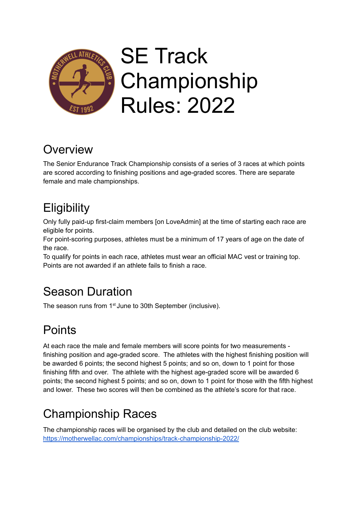

#### **Overview**

The Senior Endurance Track Championship consists of a series of 3 races at which points are scored according to finishing positions and age-graded scores. There are separate female and male championships.

# **Eligibility**

Only fully paid-up first-claim members [on LoveAdmin] at the time of starting each race are eligible for points.

For point-scoring purposes, athletes must be a minimum of 17 years of age on the date of the race.

To qualify for points in each race, athletes must wear an official MAC vest or training top. Points are not awarded if an athlete fails to finish a race.

## Season Duration

The season runs from 1<sup>st</sup> June to 30th September (inclusive).

## **Points**

At each race the male and female members will score points for two measurements finishing position and age-graded score. The athletes with the highest finishing position will be awarded 6 points; the second highest 5 points; and so on, down to 1 point for those finishing fifth and over. The athlete with the highest age-graded score will be awarded 6 points; the second highest 5 points; and so on, down to 1 point for those with the fifth highest and lower. These two scores will then be combined as the athlete's score for that race.

## Championship Races

The championship races will be organised by the club and detailed on the club website: <https://motherwellac.com/championships/track-championship-2022/>